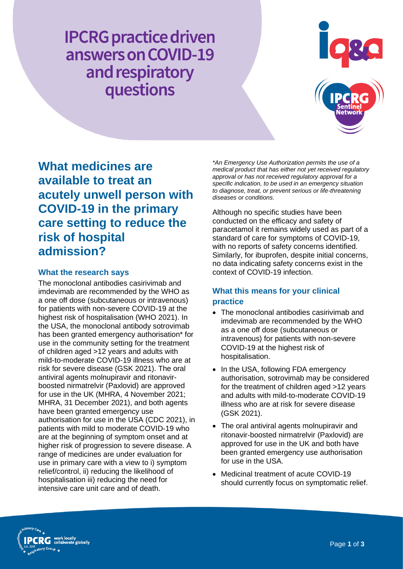**IPCRG** practice driven answers on COVID-19 and respiratory questions



**What medicines are available to treat an acutely unwell person with COVID-19 in the primary care setting to reduce the risk of hospital admission?**

## **What the research says**

The monoclonal antibodies casirivimab and imdevimab are recommended by the WHO as a one off dose (subcutaneous or intravenous) for patients with non-severe COVID-19 at the highest risk of hospitalisation (WHO 2021). In the USA, the monoclonal antibody sotrovimab has been granted emergency authorisation\* for use in the community setting for the treatment of children aged >12 years and adults with mild-to-moderate COVID-19 illness who are at risk for severe disease (GSK 2021). The oral antiviral agents molnupiravir and ritonavirboosted nirmatrelvir (Paxlovid) are approved for use in the UK (MHRA, 4 November 2021; MHRA, 31 December 2021), and both agents have been granted emergency use authorisation for use in the USA (CDC 2021), in patients with mild to moderate COVID-19 who are at the beginning of symptom onset and at higher risk of progression to severe disease. A range of medicines are under evaluation for use in primary care with a view to i) symptom relief/control, ii) reducing the likelihood of hospitalisation iii) reducing the need for intensive care unit care and of death.

*\*An Emergency Use Authorization permits the use of a medical product that has either not yet received regulatory approval or has not received regulatory approval for a specific indication, to be used in an emergency situation to diagnose, treat, or prevent serious or life-threatening diseases or conditions.*

Although no specific studies have been conducted on the efficacy and safety of paracetamol it remains widely used as part of a standard of care for symptoms of COVID-19, with no reports of safety concerns identified. Similarly, for ibuprofen, despite initial concerns, no data indicating safety concerns exist in the context of COVID-19 infection.

# **What this means for your clinical practice**

- The monoclonal antibodies casirivimab and imdevimab are recommended by the WHO as a one off dose (subcutaneous or intravenous) for patients with non-severe COVID-19 at the highest risk of hospitalisation.
- In the USA, following FDA emergency authorisation, sotrovimab may be considered for the treatment of children aged >12 years and adults with mild-to-moderate COVID-19 illness who are at risk for severe disease (GSK 2021).
- The oral antiviral agents molnupiravir and ritonavir-boosted nirmatrelvir (Paxlovid) are approved for use in the UK and both have been granted emergency use authorisation for use in the USA.
- Medicinal treatment of acute COVID-19 should currently focus on symptomatic relief.

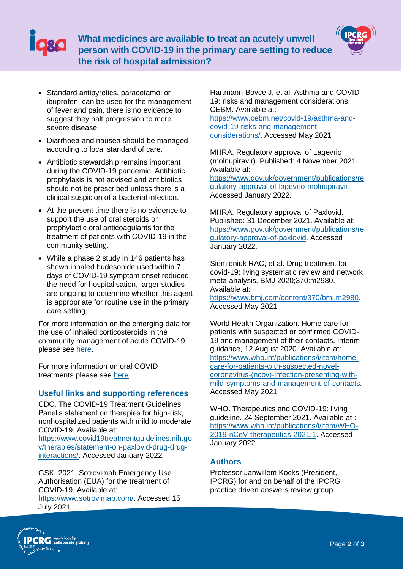



- Standard antipyretics, paracetamol or ibuprofen, can be used for the management of fever and pain, there is no evidence to suggest they halt progression to more severe disease.
- Diarrhoea and nausea should be managed according to local standard of care.
- Antibiotic stewardship remains important during the COVID-19 pandemic. Antibiotic prophylaxis is not advised and antibiotics should not be prescribed unless there is a clinical suspicion of a bacterial infection.
- At the present time there is no evidence to support the use of oral steroids or prophylactic oral anticoagulants for the treatment of patients with COVID-19 in the community setting.
- While a phase 2 study in 146 patients has shown inhaled budesonide used within 7 days of COVID-19 symptom onset reduced the need for hospitalisation, larger studies are ongoing to determine whether this agent is appropriate for routine use in the primary care setting.

For more information on the emerging data for the use of inhaled corticosteroids in the community management of acute COVID-19 please see [here.](https://www.ipcrg.org/resources/search-resources/should-we-give-covid-positive-patients-without-asthma-ics-as-a-preventer)

For more information on oral COVID treatments please see [here.](https://www.ipcrg.org/resources/search-resources/are-new-oral-anti-covid-19-drugs-effective)

## **Useful links and supporting references**

CDC. The COVID-19 Treatment Guidelines Panel's statement on therapies for high-risk, nonhospitalized patients with mild to moderate COVID-19. Available at:

[https://www.covid19treatmentguidelines.nih.go](https://www.covid19treatmentguidelines.nih.gov/therapies/statement-on-paxlovid-drug-drug-interactions/) [v/therapies/statement-on-paxlovid-drug-drug](https://www.covid19treatmentguidelines.nih.gov/therapies/statement-on-paxlovid-drug-drug-interactions/)[interactions/.](https://www.covid19treatmentguidelines.nih.gov/therapies/statement-on-paxlovid-drug-drug-interactions/) Accessed January 2022.

GSK. 2021. Sotrovimab Emergency Use Authorisation (EUA) for the treatment of COVID-19. Available at: [https://www.sotrovimab.com/.](https://www.sotrovimab.com/) Accessed 15 July 2021.

Hartmann-Boyce J, et al. Asthma and COVID-19: risks and management considerations. CEBM. Available at:

[https://www.cebm.net/covid-19/asthma-and](https://www.cebm.net/covid-19/asthma-and-covid-19-risks-and-management-considerations/)[covid-19-risks-and-management](https://www.cebm.net/covid-19/asthma-and-covid-19-risks-and-management-considerations/)[considerations/.](https://www.cebm.net/covid-19/asthma-and-covid-19-risks-and-management-considerations/) Accessed May 2021

MHRA. Regulatory approval of Lagevrio (molnupiravir). Published: 4 November 2021. Available at:

[https://www.gov.uk/government/publications/re](https://www.gov.uk/government/publications/regulatory-approval-of-lagevrio-molnupiravir) [gulatory-approval-of-lagevrio-molnupiravir.](https://www.gov.uk/government/publications/regulatory-approval-of-lagevrio-molnupiravir) Accessed January 2022.

MHRA. Regulatory approval of Paxlovid. Published: 31 December 2021. Available at: [https://www.gov.uk/government/publications/re](https://www.gov.uk/government/publications/regulatory-approval-of-paxlovid) [gulatory-approval-of-paxlovid.](https://www.gov.uk/government/publications/regulatory-approval-of-paxlovid) Accessed January 2022.

Siemieniuk RAC, et al. Drug treatment for covid-19: living systematic review and network meta-analysis. BMJ 2020;370:m2980. Available at:

[https://www.bmj.com/content/370/bmj.m2980.](https://www.bmj.com/content/370/bmj.m2980) Accessed May 2021

World Health Organization. Home care for patients with suspected or confirmed COVID-19 and management of their contacts. Interim guidance, 12 August 2020. Available at: [https://www.who.int/publications/i/item/home](https://www.who.int/publications/i/item/home-care-for-patients-with-suspected-novel-coronavirus-(ncov)-infection-presenting-with-mild-symptoms-and-management-of-contacts)[care-for-patients-with-suspected-novel](https://www.who.int/publications/i/item/home-care-for-patients-with-suspected-novel-coronavirus-(ncov)-infection-presenting-with-mild-symptoms-and-management-of-contacts)[coronavirus-\(ncov\)-infection-presenting-with](https://www.who.int/publications/i/item/home-care-for-patients-with-suspected-novel-coronavirus-(ncov)-infection-presenting-with-mild-symptoms-and-management-of-contacts)[mild-symptoms-and-management-of-contacts.](https://www.who.int/publications/i/item/home-care-for-patients-with-suspected-novel-coronavirus-(ncov)-infection-presenting-with-mild-symptoms-and-management-of-contacts) Accessed May 2021

WHO. Therapeutics and COVID-19: living guideline. 24 September 2021. Available at : [https://www.who.int/publications/i/item/WHO-](https://www.who.int/publications/i/item/WHO-2019-nCoV-therapeutics-2021.1)[2019-nCoV-therapeutics-2021.1.](https://www.who.int/publications/i/item/WHO-2019-nCoV-therapeutics-2021.1) Accessed January 2022.

## **Authors**

Professor Janwillem Kocks (President, IPCRG) for and on behalf of the IPCRG practice driven answers review group.